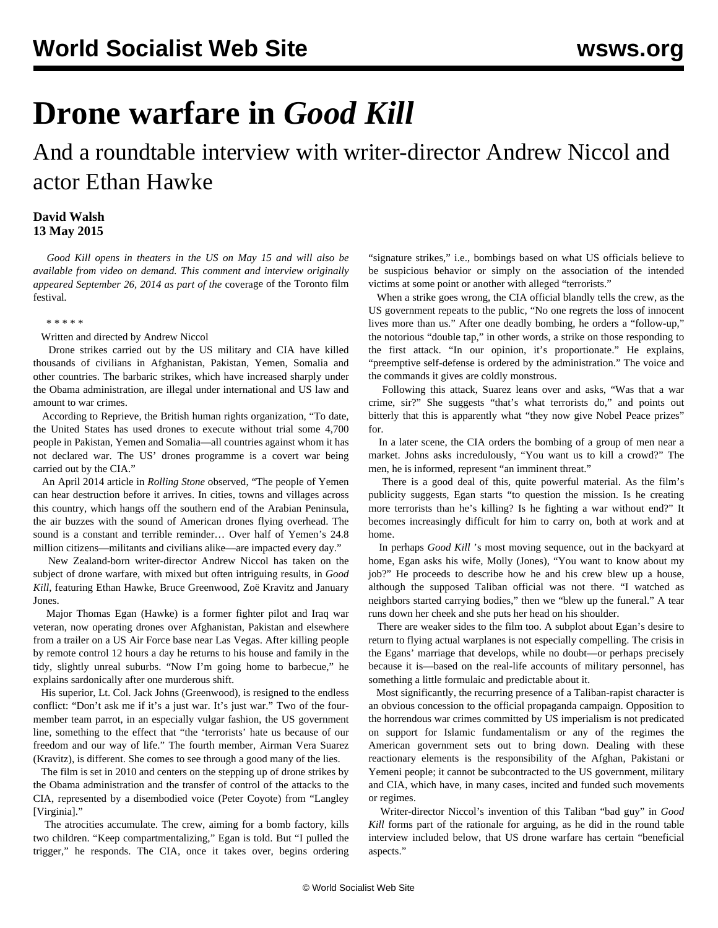## **Drone warfare in** *Good Kill*

And a roundtable interview with writer-director Andrew Niccol and actor Ethan Hawke

## **David Walsh 13 May 2015**

 *Good Kill opens in theaters in the US on May 15 and will also be available from video on demand. This comment and interview originally appeared September 26, 2014 as part of the* [coverage of the Toronto film](/en/articles/2014/09/26/tff3-s26.html) [festival](/en/articles/2014/09/26/tff3-s26.html)*.*

## \* \* \* \* \*

Written and directed by Andrew Niccol

 Drone strikes carried out by the US military and CIA have killed thousands of civilians in Afghanistan, Pakistan, Yemen, Somalia and other countries. The barbaric strikes, which have increased sharply under the Obama administration, are illegal under international and US law and amount to war crimes.

 According to Reprieve, the British human rights organization, "To date, the United States has used drones to execute without trial some 4,700 people in Pakistan, Yemen and Somalia—all countries against whom it has not declared war. The US' drones programme is a covert war being carried out by the CIA."

 An April 2014 article in *Rolling Stone* observed, "The people of Yemen can hear destruction before it arrives. In cities, towns and villages across this country, which hangs off the southern end of the Arabian Peninsula, the air buzzes with the sound of American drones flying overhead. The sound is a constant and terrible reminder… Over half of Yemen's 24.8 million citizens—militants and civilians alike—are impacted every day."

 New Zealand-born writer-director Andrew Niccol has taken on the subject of drone warfare, with mixed but often intriguing results, in *Good Kill*, featuring Ethan Hawke, Bruce Greenwood, Zoë Kravitz and January Jones.

 Major Thomas Egan (Hawke) is a former fighter pilot and Iraq war veteran, now operating drones over Afghanistan, Pakistan and elsewhere from a trailer on a US Air Force base near Las Vegas. After killing people by remote control 12 hours a day he returns to his house and family in the tidy, slightly unreal suburbs. "Now I'm going home to barbecue," he explains sardonically after one murderous shift.

 His superior, Lt. Col. Jack Johns (Greenwood), is resigned to the endless conflict: "Don't ask me if it's a just war. It's just war." Two of the fourmember team parrot, in an especially vulgar fashion, the US government line, something to the effect that "the 'terrorists' hate us because of our freedom and our way of life." The fourth member, Airman Vera Suarez (Kravitz), is different. She comes to see through a good many of the lies.

 The film is set in 2010 and centers on the stepping up of drone strikes by the Obama administration and the transfer of control of the attacks to the CIA, represented by a disembodied voice (Peter Coyote) from "Langley [Virginia]."

 The atrocities accumulate. The crew, aiming for a bomb factory, kills two children. "Keep compartmentalizing," Egan is told. But "I pulled the trigger," he responds. The CIA, once it takes over, begins ordering "signature strikes," i.e., bombings based on what US officials believe to be suspicious behavior or simply on the association of the intended victims at some point or another with alleged "terrorists."

 When a strike goes wrong, the CIA official blandly tells the crew, as the US government repeats to the public, "No one regrets the loss of innocent lives more than us." After one deadly bombing, he orders a "follow-up," the notorious "double tap," in other words, a strike on those responding to the first attack. "In our opinion, it's proportionate." He explains, "preemptive self-defense is ordered by the administration." The voice and the commands it gives are coldly monstrous.

 Following this attack, Suarez leans over and asks, "Was that a war crime, sir?" She suggests "that's what terrorists do," and points out bitterly that this is apparently what "they now give Nobel Peace prizes" for.

 In a later scene, the CIA orders the bombing of a group of men near a market. Johns asks incredulously, "You want us to kill a crowd?" The men, he is informed, represent "an imminent threat."

 There is a good deal of this, quite powerful material. As the film's publicity suggests, Egan starts "to question the mission. Is he creating more terrorists than he's killing? Is he fighting a war without end?" It becomes increasingly difficult for him to carry on, both at work and at home.

 In perhaps *Good Kill* 's most moving sequence, out in the backyard at home, Egan asks his wife, Molly (Jones), "You want to know about my job?" He proceeds to describe how he and his crew blew up a house, although the supposed Taliban official was not there. "I watched as neighbors started carrying bodies," then we "blew up the funeral." A tear runs down her cheek and she puts her head on his shoulder.

 There are weaker sides to the film too. A subplot about Egan's desire to return to flying actual warplanes is not especially compelling. The crisis in the Egans' marriage that develops, while no doubt—or perhaps precisely because it is—based on the real-life accounts of military personnel, has something a little formulaic and predictable about it.

 Most significantly, the recurring presence of a Taliban-rapist character is an obvious concession to the official propaganda campaign. Opposition to the horrendous war crimes committed by US imperialism is not predicated on support for Islamic fundamentalism or any of the regimes the American government sets out to bring down. Dealing with these reactionary elements is the responsibility of the Afghan, Pakistani or Yemeni people; it cannot be subcontracted to the US government, military and CIA, which have, in many cases, incited and funded such movements or regimes.

 Writer-director Niccol's invention of this Taliban "bad guy" in *Good Kill* forms part of the rationale for arguing, as he did in the round table interview included below, that US drone warfare has certain "beneficial aspects."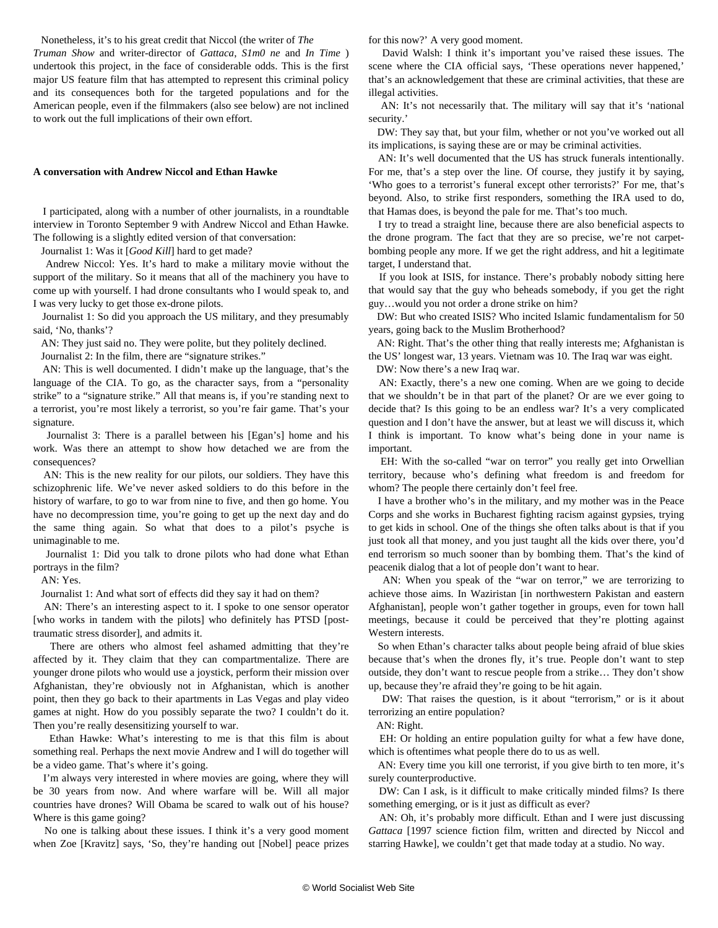Nonetheless, it's to his great credit that Niccol (the writer of *The*

*Truman Show* and writer-director of *Gattaca*, *S1m0 ne* and *In Time* ) undertook this project, in the face of considerable odds. This is the first major US feature film that has attempted to represent this criminal policy and its consequences both for the targeted populations and for the American people, even if the filmmakers (also see below) are not inclined to work out the full implications of their own effort.

## **A conversation with Andrew Niccol and Ethan Hawke**

 I participated, along with a number of other journalists, in a roundtable interview in Toronto September 9 with Andrew Niccol and Ethan Hawke. The following is a slightly edited version of that conversation:

Journalist 1: Was it [*Good Kill*] hard to get made?

 Andrew Niccol: Yes. It's hard to make a military movie without the support of the military. So it means that all of the machinery you have to come up with yourself. I had drone consultants who I would speak to, and I was very lucky to get those ex-drone pilots.

 Journalist 1: So did you approach the US military, and they presumably said, 'No, thanks'?

AN: They just said no. They were polite, but they politely declined.

Journalist 2: In the film, there are "signature strikes."

 AN: This is well documented. I didn't make up the language, that's the language of the CIA. To go, as the character says, from a "personality strike" to a "signature strike." All that means is, if you're standing next to a terrorist, you're most likely a terrorist, so you're fair game. That's your signature.

 Journalist 3: There is a parallel between his [Egan's] home and his work. Was there an attempt to show how detached we are from the consequences?

 AN: This is the new reality for our pilots, our soldiers. They have this schizophrenic life. We've never asked soldiers to do this before in the history of warfare, to go to war from nine to five, and then go home. You have no decompression time, you're going to get up the next day and do the same thing again. So what that does to a pilot's psyche is unimaginable to me.

 Journalist 1: Did you talk to drone pilots who had done what Ethan portrays in the film?

AN: Yes.

Journalist 1: And what sort of effects did they say it had on them?

 AN: There's an interesting aspect to it. I spoke to one sensor operator [who works in tandem with the pilots] who definitely has PTSD [posttraumatic stress disorder], and admits it.

 There are others who almost feel ashamed admitting that they're affected by it. They claim that they can compartmentalize. There are younger drone pilots who would use a joystick, perform their mission over Afghanistan, they're obviously not in Afghanistan, which is another point, then they go back to their apartments in Las Vegas and play video games at night. How do you possibly separate the two? I couldn't do it. Then you're really desensitizing yourself to war.

 Ethan Hawke: What's interesting to me is that this film is about something real. Perhaps the next movie Andrew and I will do together will be a video game. That's where it's going.

 I'm always very interested in where movies are going, where they will be 30 years from now. And where warfare will be. Will all major countries have drones? Will Obama be scared to walk out of his house? Where is this game going?

 No one is talking about these issues. I think it's a very good moment when Zoe [Kravitz] says, 'So, they're handing out [Nobel] peace prizes for this now?' A very good moment.

 David Walsh: I think it's important you've raised these issues. The scene where the CIA official says, 'These operations never happened,' that's an acknowledgement that these are criminal activities, that these are illegal activities.

 AN: It's not necessarily that. The military will say that it's 'national security.'

 DW: They say that, but your film, whether or not you've worked out all its implications, is saying these are or may be criminal activities.

 AN: It's well documented that the US has struck funerals intentionally. For me, that's a step over the line. Of course, they justify it by saying, 'Who goes to a terrorist's funeral except other terrorists?' For me, that's beyond. Also, to strike first responders, something the IRA used to do, that Hamas does, is beyond the pale for me. That's too much.

 I try to tread a straight line, because there are also beneficial aspects to the drone program. The fact that they are so precise, we're not carpetbombing people any more. If we get the right address, and hit a legitimate target, I understand that.

 If you look at ISIS, for instance. There's probably nobody sitting here that would say that the guy who beheads somebody, if you get the right guy…would you not order a drone strike on him?

 DW: But who created ISIS? Who incited Islamic fundamentalism for 50 years, going back to the Muslim Brotherhood?

 AN: Right. That's the other thing that really interests me; Afghanistan is the US' longest war, 13 years. Vietnam was 10. The Iraq war was eight.

DW: Now there's a new Iraq war.

 AN: Exactly, there's a new one coming. When are we going to decide that we shouldn't be in that part of the planet? Or are we ever going to decide that? Is this going to be an endless war? It's a very complicated question and I don't have the answer, but at least we will discuss it, which I think is important. To know what's being done in your name is important.

 EH: With the so-called "war on terror" you really get into Orwellian territory, because who's defining what freedom is and freedom for whom? The people there certainly don't feel free.

 I have a brother who's in the military, and my mother was in the Peace Corps and she works in Bucharest fighting racism against gypsies, trying to get kids in school. One of the things she often talks about is that if you just took all that money, and you just taught all the kids over there, you'd end terrorism so much sooner than by bombing them. That's the kind of peacenik dialog that a lot of people don't want to hear.

 AN: When you speak of the "war on terror," we are terrorizing to achieve those aims. In Waziristan [in northwestern Pakistan and eastern Afghanistan], people won't gather together in groups, even for town hall meetings, because it could be perceived that they're plotting against Western interests.

 So when Ethan's character talks about people being afraid of blue skies because that's when the drones fly, it's true. People don't want to step outside, they don't want to rescue people from a strike… They don't show up, because they're afraid they're going to be hit again.

 DW: That raises the question, is it about "terrorism," or is it about terrorizing an entire population?

AN: Right.

 EH: Or holding an entire population guilty for what a few have done, which is oftentimes what people there do to us as well.

 AN: Every time you kill one terrorist, if you give birth to ten more, it's surely counterproductive.

 DW: Can I ask, is it difficult to make critically minded films? Is there something emerging, or is it just as difficult as ever?

 AN: Oh, it's probably more difficult. Ethan and I were just discussing *Gattaca* [1997 science fiction film, written and directed by Niccol and starring Hawke], we couldn't get that made today at a studio. No way.